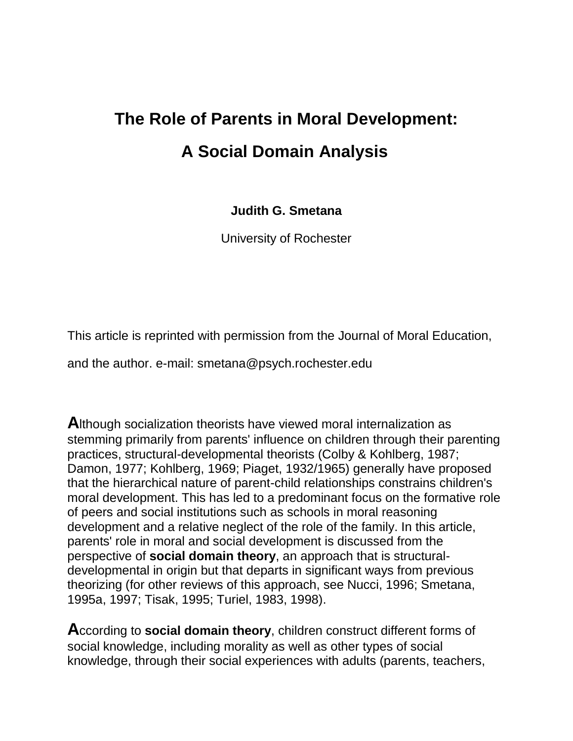# **The Role of Parents in Moral Development: A Social Domain Analysis**

**Judith G. Smetana**

University of Rochester

This article is reprinted with permission from the Journal of Moral Education,

and the author. e-mail: smetana@psych.rochester.edu

**A**lthough socialization theorists have viewed moral internalization as stemming primarily from parents' influence on children through their parenting practices, structural-developmental theorists (Colby & Kohlberg, 1987; Damon, 1977; Kohlberg, 1969; Piaget, 1932/1965) generally have proposed that the hierarchical nature of parent-child relationships constrains children's moral development. This has led to a predominant focus on the formative role of peers and social institutions such as schools in moral reasoning development and a relative neglect of the role of the family. In this article, parents' role in moral and social development is discussed from the perspective of **social domain theory**, an approach that is structuraldevelopmental in origin but that departs in significant ways from previous theorizing (for other reviews of this approach, see Nucci, 1996; Smetana, 1995a, 1997; Tisak, 1995; Turiel, 1983, 1998).

**A**ccording to **social domain theory**, children construct different forms of social knowledge, including morality as well as other types of social knowledge, through their social experiences with adults (parents, teachers,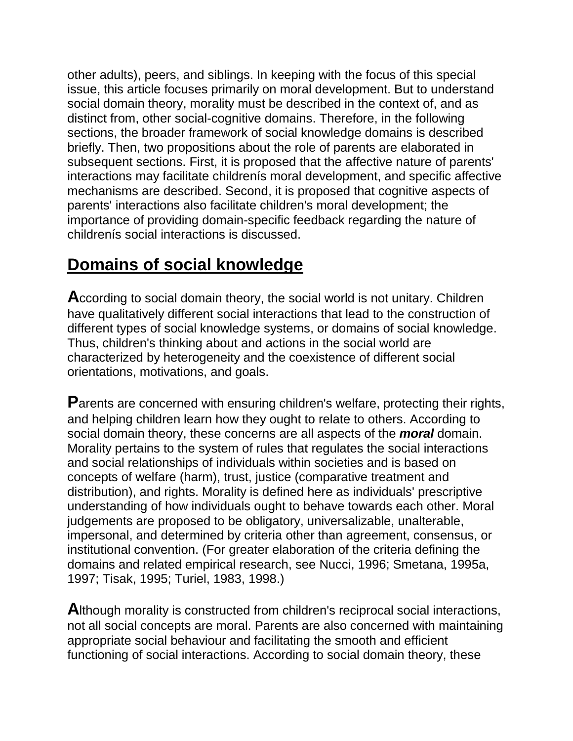other adults), peers, and siblings. In keeping with the focus of this special issue, this article focuses primarily on moral development. But to understand social domain theory, morality must be described in the context of, and as distinct from, other social-cognitive domains. Therefore, in the following sections, the broader framework of social knowledge domains is described briefly. Then, two propositions about the role of parents are elaborated in subsequent sections. First, it is proposed that the affective nature of parents' interactions may facilitate childrenís moral development, and specific affective mechanisms are described. Second, it is proposed that cognitive aspects of parents' interactions also facilitate children's moral development; the importance of providing domain-specific feedback regarding the nature of childrenís social interactions is discussed.

#### **Domains of social knowledge**

**A**ccording to social domain theory, the social world is not unitary. Children have qualitatively different social interactions that lead to the construction of different types of social knowledge systems, or domains of social knowledge. Thus, children's thinking about and actions in the social world are characterized by heterogeneity and the coexistence of different social orientations, motivations, and goals.

**Parents are concerned with ensuring children's welfare, protecting their rights,** and helping children learn how they ought to relate to others. According to social domain theory, these concerns are all aspects of the *moral* domain. Morality pertains to the system of rules that regulates the social interactions and social relationships of individuals within societies and is based on concepts of welfare (harm), trust, justice (comparative treatment and distribution), and rights. Morality is defined here as individuals' prescriptive understanding of how individuals ought to behave towards each other. Moral judgements are proposed to be obligatory, universalizable, unalterable, impersonal, and determined by criteria other than agreement, consensus, or institutional convention. (For greater elaboration of the criteria defining the domains and related empirical research, see Nucci, 1996; Smetana, 1995a, 1997; Tisak, 1995; Turiel, 1983, 1998.)

**A**lthough morality is constructed from children's reciprocal social interactions, not all social concepts are moral. Parents are also concerned with maintaining appropriate social behaviour and facilitating the smooth and efficient functioning of social interactions. According to social domain theory, these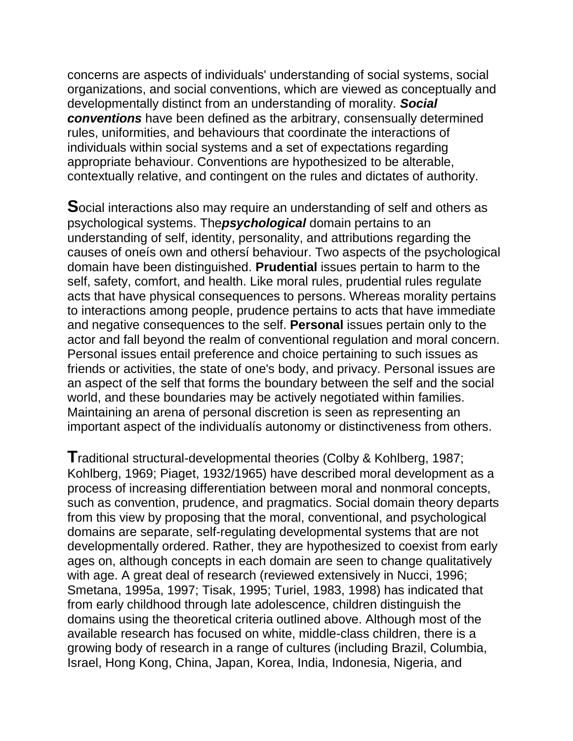concerns are aspects of individuals' understanding of social systems, social organizations, and social conventions, which are viewed as conceptually and developmentally distinct from an understanding of morality. *Social conventions* have been defined as the arbitrary, consensually determined rules, uniformities, and behaviours that coordinate the interactions of individuals within social systems and a set of expectations regarding appropriate behaviour. Conventions are hypothesized to be alterable, contextually relative, and contingent on the rules and dictates of authority.

**S**ocial interactions also may require an understanding of self and others as psychological systems. The*psychological* domain pertains to an understanding of self, identity, personality, and attributions regarding the causes of oneís own and othersí behaviour. Two aspects of the psychological domain have been distinguished. **Prudential** issues pertain to harm to the self, safety, comfort, and health. Like moral rules, prudential rules regulate acts that have physical consequences to persons. Whereas morality pertains to interactions among people, prudence pertains to acts that have immediate and negative consequences to the self. **Personal** issues pertain only to the actor and fall beyond the realm of conventional regulation and moral concern. Personal issues entail preference and choice pertaining to such issues as friends or activities, the state of one's body, and privacy. Personal issues are an aspect of the self that forms the boundary between the self and the social world, and these boundaries may be actively negotiated within families. Maintaining an arena of personal discretion is seen as representing an important aspect of the individualís autonomy or distinctiveness from others.

**T**raditional structural-developmental theories (Colby & Kohlberg, 1987; Kohlberg, 1969; Piaget, 1932/1965) have described moral development as a process of increasing differentiation between moral and nonmoral concepts, such as convention, prudence, and pragmatics. Social domain theory departs from this view by proposing that the moral, conventional, and psychological domains are separate, self-regulating developmental systems that are not developmentally ordered. Rather, they are hypothesized to coexist from early ages on, although concepts in each domain are seen to change qualitatively with age. A great deal of research (reviewed extensively in Nucci, 1996; Smetana, 1995a, 1997; Tisak, 1995; Turiel, 1983, 1998) has indicated that from early childhood through late adolescence, children distinguish the domains using the theoretical criteria outlined above. Although most of the available research has focused on white, middle-class children, there is a growing body of research in a range of cultures (including Brazil, Columbia, Israel, Hong Kong, China, Japan, Korea, India, Indonesia, Nigeria, and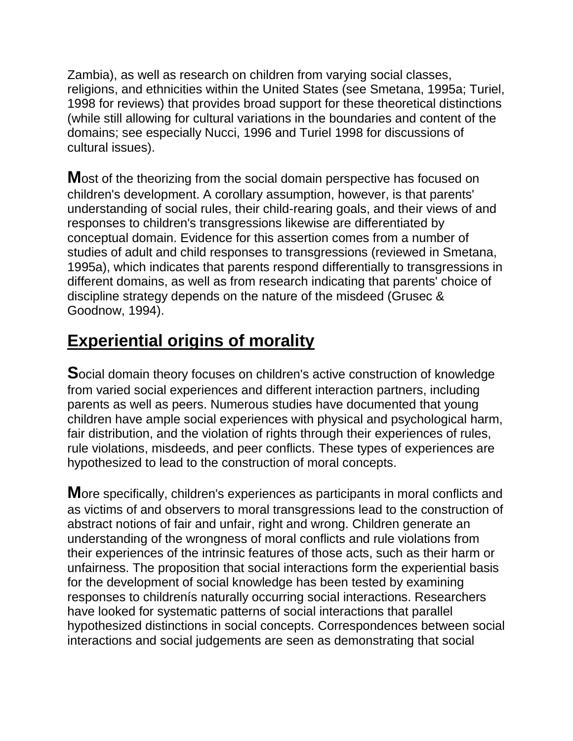Zambia), as well as research on children from varying social classes, religions, and ethnicities within the United States (see Smetana, 1995a; Turiel, 1998 for reviews) that provides broad support for these theoretical distinctions (while still allowing for cultural variations in the boundaries and content of the domains; see especially Nucci, 1996 and Turiel 1998 for discussions of cultural issues).

**M**ost of the theorizing from the social domain perspective has focused on children's development. A corollary assumption, however, is that parents' understanding of social rules, their child-rearing goals, and their views of and responses to children's transgressions likewise are differentiated by conceptual domain. Evidence for this assertion comes from a number of studies of adult and child responses to transgressions (reviewed in Smetana, 1995a), which indicates that parents respond differentially to transgressions in different domains, as well as from research indicating that parents' choice of discipline strategy depends on the nature of the misdeed (Grusec & Goodnow, 1994).

## **Experiential origins of morality**

**S**ocial domain theory focuses on children's active construction of knowledge from varied social experiences and different interaction partners, including parents as well as peers. Numerous studies have documented that young children have ample social experiences with physical and psychological harm, fair distribution, and the violation of rights through their experiences of rules, rule violations, misdeeds, and peer conflicts. These types of experiences are hypothesized to lead to the construction of moral concepts.

**M**ore specifically, children's experiences as participants in moral conflicts and as victims of and observers to moral transgressions lead to the construction of abstract notions of fair and unfair, right and wrong. Children generate an understanding of the wrongness of moral conflicts and rule violations from their experiences of the intrinsic features of those acts, such as their harm or unfairness. The proposition that social interactions form the experiential basis for the development of social knowledge has been tested by examining responses to childrenís naturally occurring social interactions. Researchers have looked for systematic patterns of social interactions that parallel hypothesized distinctions in social concepts. Correspondences between social interactions and social judgements are seen as demonstrating that social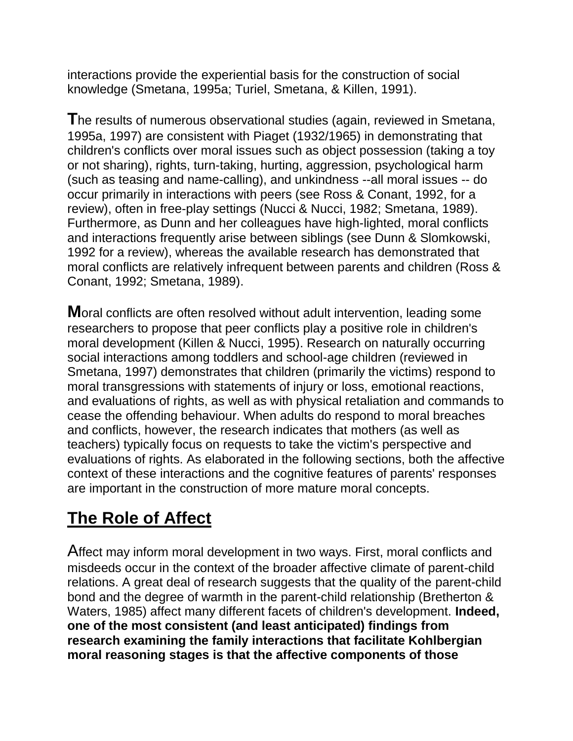interactions provide the experiential basis for the construction of social knowledge (Smetana, 1995a; Turiel, Smetana, & Killen, 1991).

**T**he results of numerous observational studies (again, reviewed in Smetana, 1995a, 1997) are consistent with Piaget (1932/1965) in demonstrating that children's conflicts over moral issues such as object possession (taking a toy or not sharing), rights, turn-taking, hurting, aggression, psychological harm (such as teasing and name-calling), and unkindness --all moral issues -- do occur primarily in interactions with peers (see Ross & Conant, 1992, for a review), often in free-play settings (Nucci & Nucci, 1982; Smetana, 1989). Furthermore, as Dunn and her colleagues have high-lighted, moral conflicts and interactions frequently arise between siblings (see Dunn & Slomkowski, 1992 for a review), whereas the available research has demonstrated that moral conflicts are relatively infrequent between parents and children (Ross & Conant, 1992; Smetana, 1989).

**M**oral conflicts are often resolved without adult intervention, leading some researchers to propose that peer conflicts play a positive role in children's moral development (Killen & Nucci, 1995). Research on naturally occurring social interactions among toddlers and school-age children (reviewed in Smetana, 1997) demonstrates that children (primarily the victims) respond to moral transgressions with statements of injury or loss, emotional reactions, and evaluations of rights, as well as with physical retaliation and commands to cease the offending behaviour. When adults do respond to moral breaches and conflicts, however, the research indicates that mothers (as well as teachers) typically focus on requests to take the victim's perspective and evaluations of rights. As elaborated in the following sections, both the affective context of these interactions and the cognitive features of parents' responses are important in the construction of more mature moral concepts.

### **The Role of Affect**

Affect may inform moral development in two ways. First, moral conflicts and misdeeds occur in the context of the broader affective climate of parent-child relations. A great deal of research suggests that the quality of the parent-child bond and the degree of warmth in the parent-child relationship (Bretherton & Waters, 1985) affect many different facets of children's development. **Indeed, one of the most consistent (and least anticipated) findings from research examining the family interactions that facilitate Kohlbergian moral reasoning stages is that the affective components of those**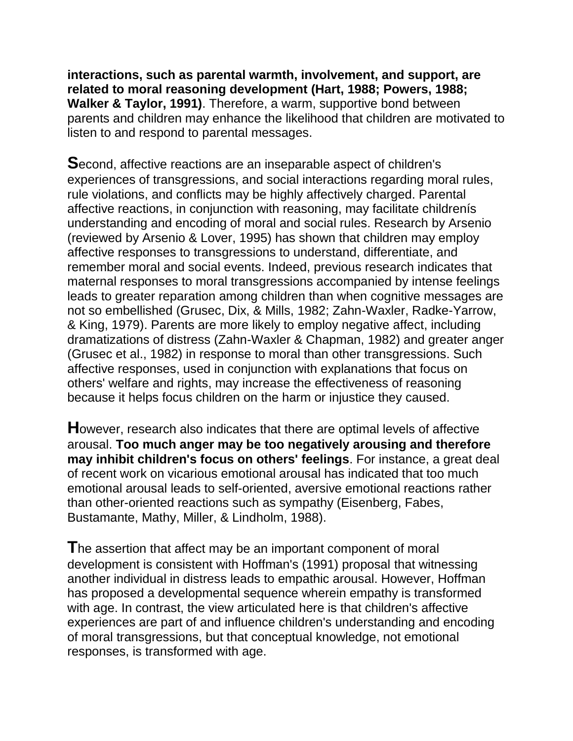**interactions, such as parental warmth, involvement, and support, are related to moral reasoning development (Hart, 1988; Powers, 1988; Walker & Taylor, 1991)**. Therefore, a warm, supportive bond between parents and children may enhance the likelihood that children are motivated to listen to and respond to parental messages.

**S**econd, affective reactions are an inseparable aspect of children's experiences of transgressions, and social interactions regarding moral rules, rule violations, and conflicts may be highly affectively charged. Parental affective reactions, in conjunction with reasoning, may facilitate childrenís understanding and encoding of moral and social rules. Research by Arsenio (reviewed by Arsenio & Lover, 1995) has shown that children may employ affective responses to transgressions to understand, differentiate, and remember moral and social events. Indeed, previous research indicates that maternal responses to moral transgressions accompanied by intense feelings leads to greater reparation among children than when cognitive messages are not so embellished (Grusec, Dix, & Mills, 1982; Zahn-Waxler, Radke-Yarrow, & King, 1979). Parents are more likely to employ negative affect, including dramatizations of distress (Zahn-Waxler & Chapman, 1982) and greater anger (Grusec et al., 1982) in response to moral than other transgressions. Such affective responses, used in conjunction with explanations that focus on others' welfare and rights, may increase the effectiveness of reasoning because it helps focus children on the harm or injustice they caused.

**H**owever, research also indicates that there are optimal levels of affective arousal. **Too much anger may be too negatively arousing and therefore may inhibit children's focus on others' feelings**. For instance, a great deal of recent work on vicarious emotional arousal has indicated that too much emotional arousal leads to self-oriented, aversive emotional reactions rather than other-oriented reactions such as sympathy (Eisenberg, Fabes, Bustamante, Mathy, Miller, & Lindholm, 1988).

**T**he assertion that affect may be an important component of moral development is consistent with Hoffman's (1991) proposal that witnessing another individual in distress leads to empathic arousal. However, Hoffman has proposed a developmental sequence wherein empathy is transformed with age. In contrast, the view articulated here is that children's affective experiences are part of and influence children's understanding and encoding of moral transgressions, but that conceptual knowledge, not emotional responses, is transformed with age.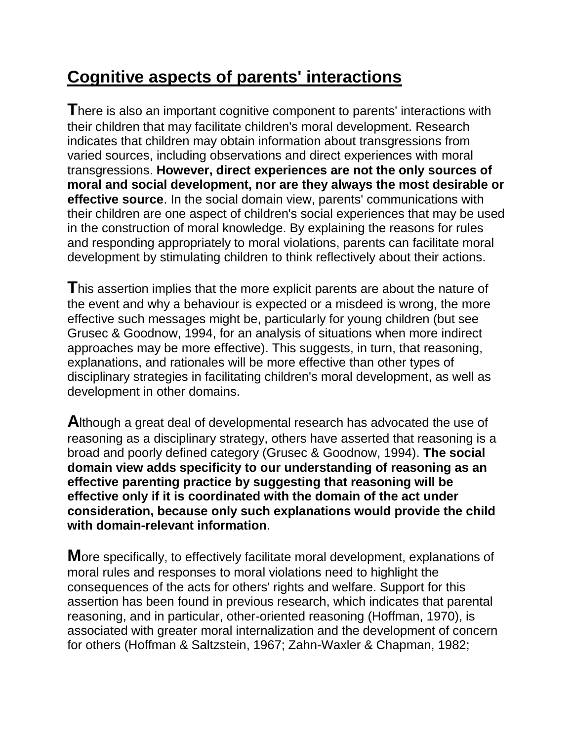# **Cognitive aspects of parents' interactions**

**T**here is also an important cognitive component to parents' interactions with their children that may facilitate children's moral development. Research indicates that children may obtain information about transgressions from varied sources, including observations and direct experiences with moral transgressions. **However, direct experiences are not the only sources of moral and social development, nor are they always the most desirable or effective source**. In the social domain view, parents' communications with their children are one aspect of children's social experiences that may be used in the construction of moral knowledge. By explaining the reasons for rules and responding appropriately to moral violations, parents can facilitate moral development by stimulating children to think reflectively about their actions.

**T**his assertion implies that the more explicit parents are about the nature of the event and why a behaviour is expected or a misdeed is wrong, the more effective such messages might be, particularly for young children (but see Grusec & Goodnow, 1994, for an analysis of situations when more indirect approaches may be more effective). This suggests, in turn, that reasoning, explanations, and rationales will be more effective than other types of disciplinary strategies in facilitating children's moral development, as well as development in other domains.

**A**lthough a great deal of developmental research has advocated the use of reasoning as a disciplinary strategy, others have asserted that reasoning is a broad and poorly defined category (Grusec & Goodnow, 1994). **The social domain view adds specificity to our understanding of reasoning as an effective parenting practice by suggesting that reasoning will be effective only if it is coordinated with the domain of the act under consideration, because only such explanations would provide the child with domain-relevant information**.

**M**ore specifically, to effectively facilitate moral development, explanations of moral rules and responses to moral violations need to highlight the consequences of the acts for others' rights and welfare. Support for this assertion has been found in previous research, which indicates that parental reasoning, and in particular, other-oriented reasoning (Hoffman, 1970), is associated with greater moral internalization and the development of concern for others (Hoffman & Saltzstein, 1967; Zahn-Waxler & Chapman, 1982;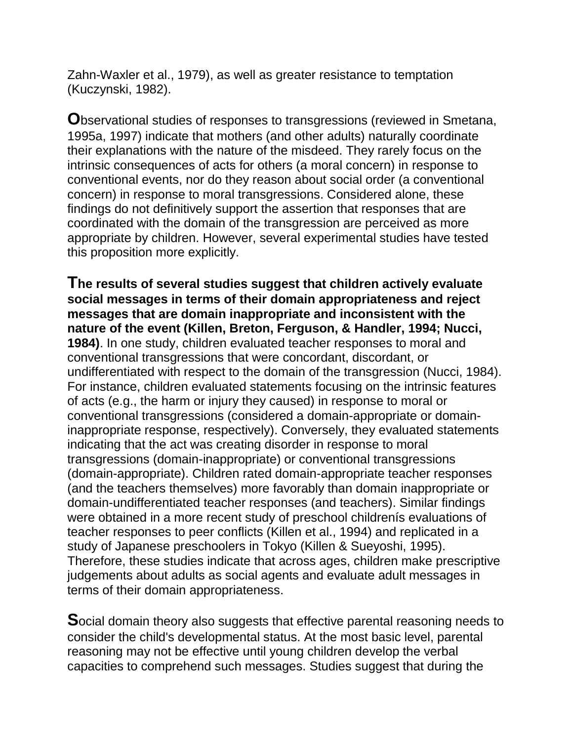Zahn-Waxler et al., 1979), as well as greater resistance to temptation (Kuczynski, 1982).

**O**bservational studies of responses to transgressions (reviewed in Smetana, 1995a, 1997) indicate that mothers (and other adults) naturally coordinate their explanations with the nature of the misdeed. They rarely focus on the intrinsic consequences of acts for others (a moral concern) in response to conventional events, nor do they reason about social order (a conventional concern) in response to moral transgressions. Considered alone, these findings do not definitively support the assertion that responses that are coordinated with the domain of the transgression are perceived as more appropriate by children. However, several experimental studies have tested this proposition more explicitly.

**The results of several studies suggest that children actively evaluate social messages in terms of their domain appropriateness and reject messages that are domain inappropriate and inconsistent with the nature of the event (Killen, Breton, Ferguson, & Handler, 1994; Nucci, 1984)**. In one study, children evaluated teacher responses to moral and conventional transgressions that were concordant, discordant, or undifferentiated with respect to the domain of the transgression (Nucci, 1984). For instance, children evaluated statements focusing on the intrinsic features of acts (e.g., the harm or injury they caused) in response to moral or conventional transgressions (considered a domain-appropriate or domaininappropriate response, respectively). Conversely, they evaluated statements indicating that the act was creating disorder in response to moral transgressions (domain-inappropriate) or conventional transgressions (domain-appropriate). Children rated domain-appropriate teacher responses (and the teachers themselves) more favorably than domain inappropriate or domain-undifferentiated teacher responses (and teachers). Similar findings were obtained in a more recent study of preschool childrenís evaluations of teacher responses to peer conflicts (Killen et al., 1994) and replicated in a study of Japanese preschoolers in Tokyo (Killen & Sueyoshi, 1995). Therefore, these studies indicate that across ages, children make prescriptive judgements about adults as social agents and evaluate adult messages in terms of their domain appropriateness.

**S**ocial domain theory also suggests that effective parental reasoning needs to consider the child's developmental status. At the most basic level, parental reasoning may not be effective until young children develop the verbal capacities to comprehend such messages. Studies suggest that during the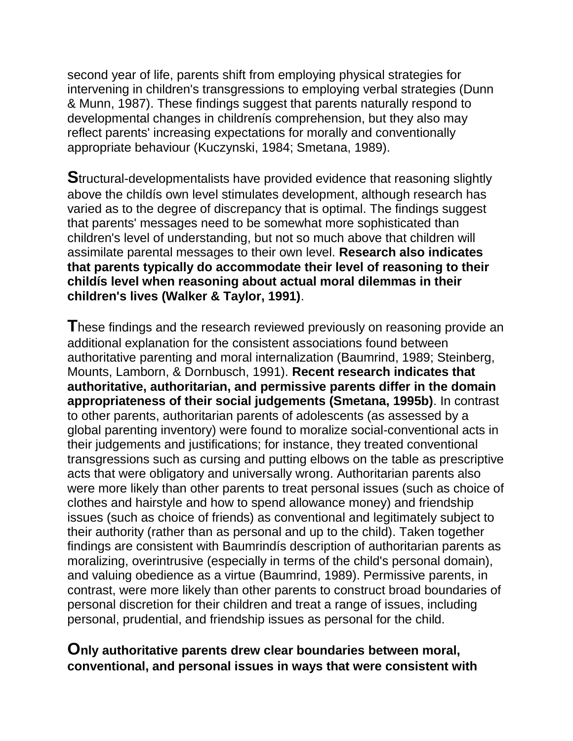second year of life, parents shift from employing physical strategies for intervening in children's transgressions to employing verbal strategies (Dunn & Munn, 1987). These findings suggest that parents naturally respond to developmental changes in childrenís comprehension, but they also may reflect parents' increasing expectations for morally and conventionally appropriate behaviour (Kuczynski, 1984; Smetana, 1989).

**S**tructural-developmentalists have provided evidence that reasoning slightly above the childís own level stimulates development, although research has varied as to the degree of discrepancy that is optimal. The findings suggest that parents' messages need to be somewhat more sophisticated than children's level of understanding, but not so much above that children will assimilate parental messages to their own level. **Research also indicates that parents typically do accommodate their level of reasoning to their childís level when reasoning about actual moral dilemmas in their children's lives (Walker & Taylor, 1991)**.

**T**hese findings and the research reviewed previously on reasoning provide an additional explanation for the consistent associations found between authoritative parenting and moral internalization (Baumrind, 1989; Steinberg, Mounts, Lamborn, & Dornbusch, 1991). **Recent research indicates that authoritative, authoritarian, and permissive parents differ in the domain appropriateness of their social judgements (Smetana, 1995b)**. In contrast to other parents, authoritarian parents of adolescents (as assessed by a global parenting inventory) were found to moralize social-conventional acts in their judgements and justifications; for instance, they treated conventional transgressions such as cursing and putting elbows on the table as prescriptive acts that were obligatory and universally wrong. Authoritarian parents also were more likely than other parents to treat personal issues (such as choice of clothes and hairstyle and how to spend allowance money) and friendship issues (such as choice of friends) as conventional and legitimately subject to their authority (rather than as personal and up to the child). Taken together findings are consistent with Baumrindís description of authoritarian parents as moralizing, overintrusive (especially in terms of the child's personal domain), and valuing obedience as a virtue (Baumrind, 1989). Permissive parents, in contrast, were more likely than other parents to construct broad boundaries of personal discretion for their children and treat a range of issues, including personal, prudential, and friendship issues as personal for the child.

#### **Only authoritative parents drew clear boundaries between moral, conventional, and personal issues in ways that were consistent with**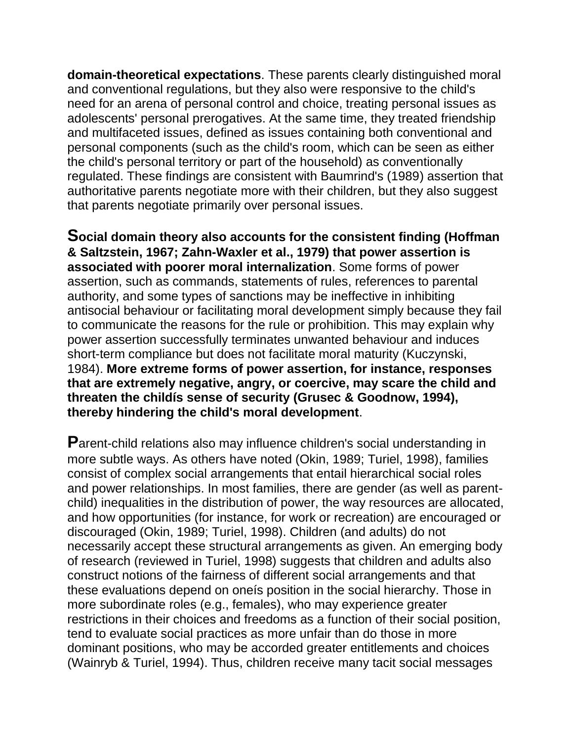**domain-theoretical expectations**. These parents clearly distinguished moral and conventional regulations, but they also were responsive to the child's need for an arena of personal control and choice, treating personal issues as adolescents' personal prerogatives. At the same time, they treated friendship and multifaceted issues, defined as issues containing both conventional and personal components (such as the child's room, which can be seen as either the child's personal territory or part of the household) as conventionally regulated. These findings are consistent with Baumrind's (1989) assertion that authoritative parents negotiate more with their children, but they also suggest that parents negotiate primarily over personal issues.

**Social domain theory also accounts for the consistent finding (Hoffman & Saltzstein, 1967; Zahn-Waxler et al., 1979) that power assertion is associated with poorer moral internalization**. Some forms of power assertion, such as commands, statements of rules, references to parental authority, and some types of sanctions may be ineffective in inhibiting antisocial behaviour or facilitating moral development simply because they fail to communicate the reasons for the rule or prohibition. This may explain why power assertion successfully terminates unwanted behaviour and induces short-term compliance but does not facilitate moral maturity (Kuczynski, 1984). **More extreme forms of power assertion, for instance, responses that are extremely negative, angry, or coercive, may scare the child and threaten the childís sense of security (Grusec & Goodnow, 1994), thereby hindering the child's moral development**.

**P**arent-child relations also may influence children's social understanding in more subtle ways. As others have noted (Okin, 1989; Turiel, 1998), families consist of complex social arrangements that entail hierarchical social roles and power relationships. In most families, there are gender (as well as parentchild) inequalities in the distribution of power, the way resources are allocated, and how opportunities (for instance, for work or recreation) are encouraged or discouraged (Okin, 1989; Turiel, 1998). Children (and adults) do not necessarily accept these structural arrangements as given. An emerging body of research (reviewed in Turiel, 1998) suggests that children and adults also construct notions of the fairness of different social arrangements and that these evaluations depend on oneís position in the social hierarchy. Those in more subordinate roles (e.g., females), who may experience greater restrictions in their choices and freedoms as a function of their social position, tend to evaluate social practices as more unfair than do those in more dominant positions, who may be accorded greater entitlements and choices (Wainryb & Turiel, 1994). Thus, children receive many tacit social messages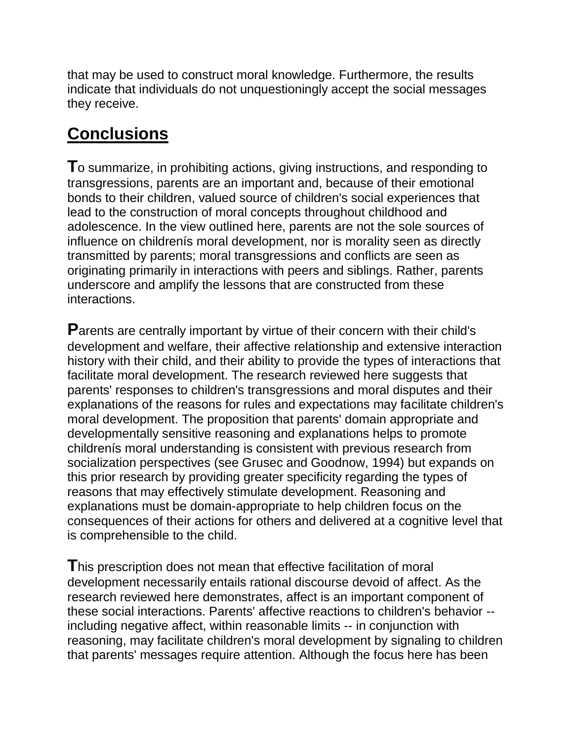that may be used to construct moral knowledge. Furthermore, the results indicate that individuals do not unquestioningly accept the social messages they receive.

## **Conclusions**

**T**o summarize, in prohibiting actions, giving instructions, and responding to transgressions, parents are an important and, because of their emotional bonds to their children, valued source of children's social experiences that lead to the construction of moral concepts throughout childhood and adolescence. In the view outlined here, parents are not the sole sources of influence on childrenís moral development, nor is morality seen as directly transmitted by parents; moral transgressions and conflicts are seen as originating primarily in interactions with peers and siblings. Rather, parents underscore and amplify the lessons that are constructed from these interactions.

**P**arents are centrally important by virtue of their concern with their child's development and welfare, their affective relationship and extensive interaction history with their child, and their ability to provide the types of interactions that facilitate moral development. The research reviewed here suggests that parents' responses to children's transgressions and moral disputes and their explanations of the reasons for rules and expectations may facilitate children's moral development. The proposition that parents' domain appropriate and developmentally sensitive reasoning and explanations helps to promote childrenís moral understanding is consistent with previous research from socialization perspectives (see Grusec and Goodnow, 1994) but expands on this prior research by providing greater specificity regarding the types of reasons that may effectively stimulate development. Reasoning and explanations must be domain-appropriate to help children focus on the consequences of their actions for others and delivered at a cognitive level that is comprehensible to the child.

**T**his prescription does not mean that effective facilitation of moral development necessarily entails rational discourse devoid of affect. As the research reviewed here demonstrates, affect is an important component of these social interactions. Parents' affective reactions to children's behavior - including negative affect, within reasonable limits -- in conjunction with reasoning, may facilitate children's moral development by signaling to children that parents' messages require attention. Although the focus here has been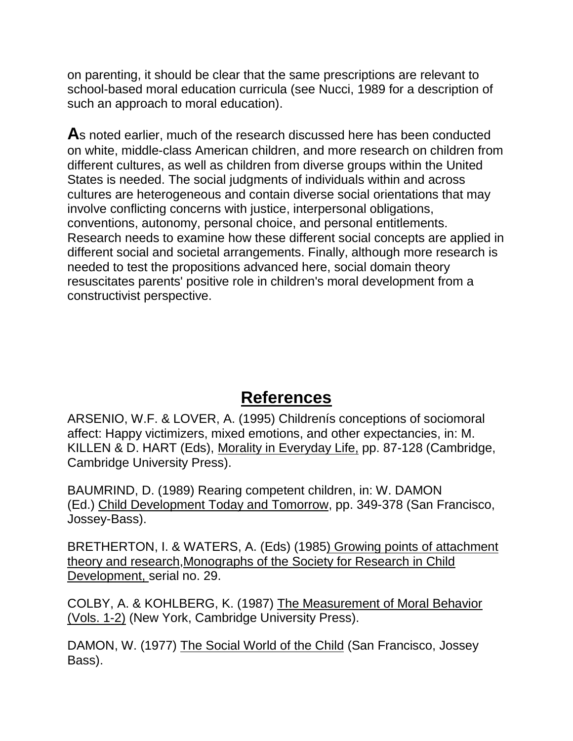on parenting, it should be clear that the same prescriptions are relevant to school-based moral education curricula (see Nucci, 1989 for a description of such an approach to moral education).

**A**s noted earlier, much of the research discussed here has been conducted on white, middle-class American children, and more research on children from different cultures, as well as children from diverse groups within the United States is needed. The social judgments of individuals within and across cultures are heterogeneous and contain diverse social orientations that may involve conflicting concerns with justice, interpersonal obligations, conventions, autonomy, personal choice, and personal entitlements. Research needs to examine how these different social concepts are applied in different social and societal arrangements. Finally, although more research is needed to test the propositions advanced here, social domain theory resuscitates parents' positive role in children's moral development from a constructivist perspective.

#### **References**

ARSENIO, W.F. & LOVER, A. (1995) Childrenís conceptions of sociomoral affect: Happy victimizers, mixed emotions, and other expectancies, in: M. KILLEN & D. HART (Eds), Morality in Everyday Life, pp. 87-128 (Cambridge, Cambridge University Press).

BAUMRIND, D. (1989) Rearing competent children, in: W. DAMON (Ed.) Child Development Today and Tomorrow, pp. 349-378 (San Francisco, Jossey-Bass).

BRETHERTON, I. & WATERS, A. (Eds) (1985) Growing points of attachment theory and research,Monographs of the Society for Research in Child Development, serial no. 29.

COLBY, A. & KOHLBERG, K. (1987) The Measurement of Moral Behavior (Vols. 1-2) (New York, Cambridge University Press).

DAMON, W. (1977) The Social World of the Child (San Francisco, Jossey Bass).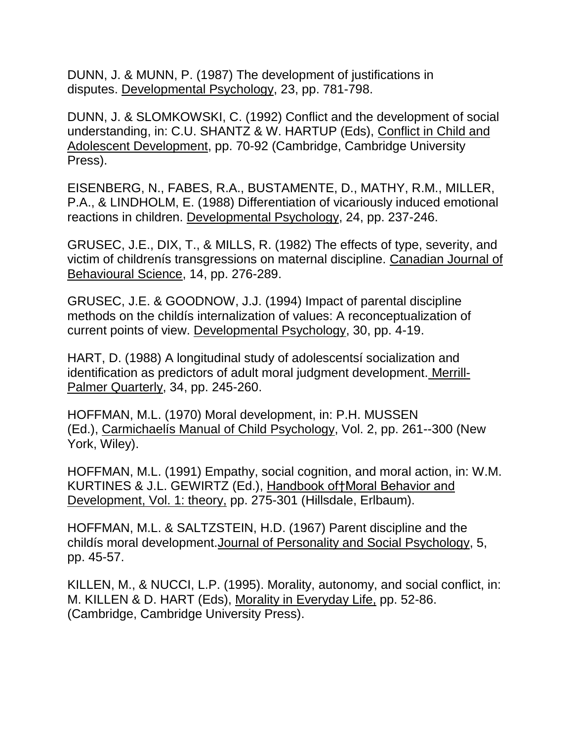DUNN, J. & MUNN, P. (1987) The development of justifications in disputes. Developmental Psychology, 23, pp. 781-798.

DUNN, J. & SLOMKOWSKI, C. (1992) Conflict and the development of social understanding, in: C.U. SHANTZ & W. HARTUP (Eds), Conflict in Child and Adolescent Development, pp. 70-92 (Cambridge, Cambridge University Press).

EISENBERG, N., FABES, R.A., BUSTAMENTE, D., MATHY, R.M., MILLER, P.A., & LINDHOLM, E. (1988) Differentiation of vicariously induced emotional reactions in children. Developmental Psychology, 24, pp. 237-246.

GRUSEC, J.E., DIX, T., & MILLS, R. (1982) The effects of type, severity, and victim of childrenís transgressions on maternal discipline. Canadian Journal of Behavioural Science, 14, pp. 276-289.

GRUSEC, J.E. & GOODNOW, J.J. (1994) Impact of parental discipline methods on the childís internalization of values: A reconceptualization of current points of view. Developmental Psychology, 30, pp. 4-19.

HART, D. (1988) A longitudinal study of adolescentsí socialization and identification as predictors of adult moral judgment development. Merrill-Palmer Quarterly, 34, pp. 245-260.

HOFFMAN, M.L. (1970) Moral development, in: P.H. MUSSEN (Ed.), Carmichaelís Manual of Child Psychology, Vol. 2, pp. 261--300 (New York, Wiley).

HOFFMAN, M.L. (1991) Empathy, social cognition, and moral action, in: W.M. KURTINES & J.L. GEWIRTZ (Ed.), Handbook of†Moral Behavior and Development, Vol. 1: theory, pp. 275-301 (Hillsdale, Erlbaum).

HOFFMAN, M.L. & SALTZSTEIN, H.D. (1967) Parent discipline and the childís moral development.Journal of Personality and Social Psychology, 5, pp. 45-57.

KILLEN, M., & NUCCI, L.P. (1995). Morality, autonomy, and social conflict, in: M. KILLEN & D. HART (Eds), Morality in Everyday Life, pp. 52-86. (Cambridge, Cambridge University Press).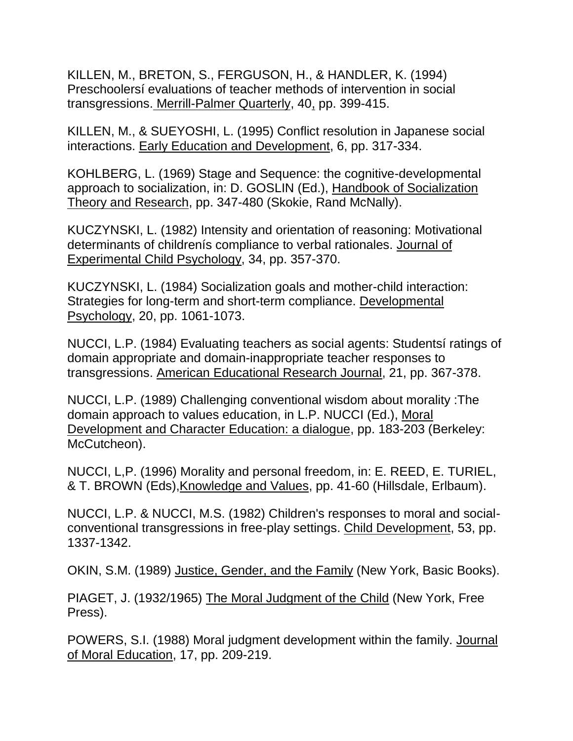KILLEN, M., BRETON, S., FERGUSON, H., & HANDLER, K. (1994) Preschoolersí evaluations of teacher methods of intervention in social transgressions. Merrill-Palmer Quarterly, 40, pp. 399-415.

KILLEN, M., & SUEYOSHI, L. (1995) Conflict resolution in Japanese social interactions. Early Education and Development, 6, pp. 317-334.

KOHLBERG, L. (1969) Stage and Sequence: the cognitive-developmental approach to socialization, in: D. GOSLIN (Ed.), Handbook of Socialization Theory and Research, pp. 347-480 (Skokie, Rand McNally).

KUCZYNSKI, L. (1982) Intensity and orientation of reasoning: Motivational determinants of childrenís compliance to verbal rationales. Journal of Experimental Child Psychology, 34, pp. 357-370.

KUCZYNSKI, L. (1984) Socialization goals and mother-child interaction: Strategies for long-term and short-term compliance. Developmental Psychology, 20, pp. 1061-1073.

NUCCI, L.P. (1984) Evaluating teachers as social agents: Studentsí ratings of domain appropriate and domain-inappropriate teacher responses to transgressions. American Educational Research Journal, 21, pp. 367-378.

NUCCI, L.P. (1989) Challenging conventional wisdom about morality :The domain approach to values education, in L.P. NUCCI (Ed.), Moral Development and Character Education: a dialogue, pp. 183-203 (Berkeley: McCutcheon).

NUCCI, L,P. (1996) Morality and personal freedom, in: E. REED, E. TURIEL, & T. BROWN (Eds),Knowledge and Values, pp. 41-60 (Hillsdale, Erlbaum).

NUCCI, L.P. & NUCCI, M.S. (1982) Children's responses to moral and socialconventional transgressions in free-play settings. Child Development, 53, pp. 1337-1342.

OKIN, S.M. (1989) Justice, Gender, and the Family (New York, Basic Books).

PIAGET, J. (1932/1965) The Moral Judgment of the Child (New York, Free Press).

POWERS, S.I. (1988) Moral judgment development within the family. Journal of Moral Education, 17, pp. 209-219.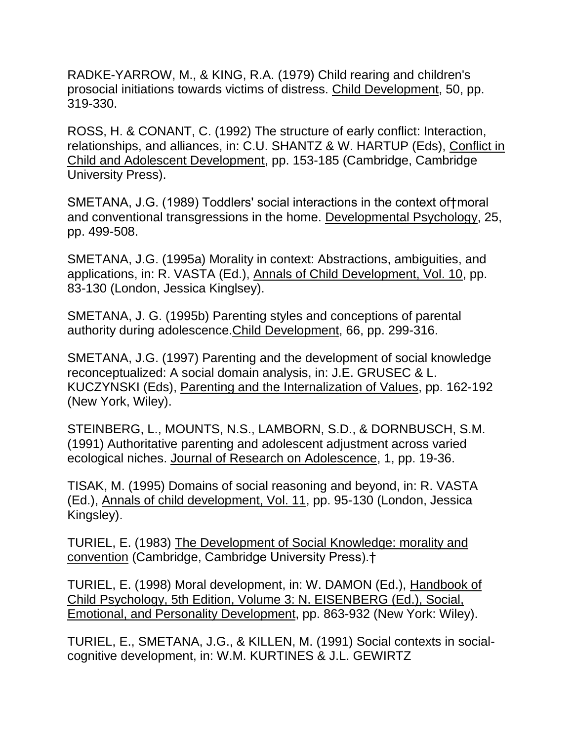RADKE-YARROW, M., & KING, R.A. (1979) Child rearing and children's prosocial initiations towards victims of distress. Child Development, 50, pp. 319-330.

ROSS, H. & CONANT, C. (1992) The structure of early conflict: Interaction, relationships, and alliances, in: C.U. SHANTZ & W. HARTUP (Eds), Conflict in Child and Adolescent Development, pp. 153-185 (Cambridge, Cambridge University Press).

SMETANA, J.G. (1989) Toddlers' social interactions in the context of†moral and conventional transgressions in the home. Developmental Psychology, 25, pp. 499-508.

SMETANA, J.G. (1995a) Morality in context: Abstractions, ambiguities, and applications, in: R. VASTA (Ed.), Annals of Child Development, Vol. 10, pp. 83-130 (London, Jessica Kinglsey).

SMETANA, J. G. (1995b) Parenting styles and conceptions of parental authority during adolescence.Child Development, 66, pp. 299-316.

SMETANA, J.G. (1997) Parenting and the development of social knowledge reconceptualized: A social domain analysis, in: J.E. GRUSEC & L. KUCZYNSKI (Eds), Parenting and the Internalization of Values, pp. 162-192 (New York, Wiley).

STEINBERG, L., MOUNTS, N.S., LAMBORN, S.D., & DORNBUSCH, S.M. (1991) Authoritative parenting and adolescent adjustment across varied ecological niches. Journal of Research on Adolescence, 1, pp. 19-36.

TISAK, M. (1995) Domains of social reasoning and beyond, in: R. VASTA (Ed.), Annals of child development, Vol. 11, pp. 95-130 (London, Jessica Kingsley).

TURIEL, E. (1983) The Development of Social Knowledge: morality and convention (Cambridge, Cambridge University Press).†

TURIEL, E. (1998) Moral development, in: W. DAMON (Ed.), Handbook of Child Psychology, 5th Edition, Volume 3: N. EISENBERG (Ed.), Social, Emotional, and Personality Development, pp. 863-932 (New York: Wiley).

TURIEL, E., SMETANA, J.G., & KILLEN, M. (1991) Social contexts in socialcognitive development, in: W.M. KURTINES & J.L. GEWIRTZ